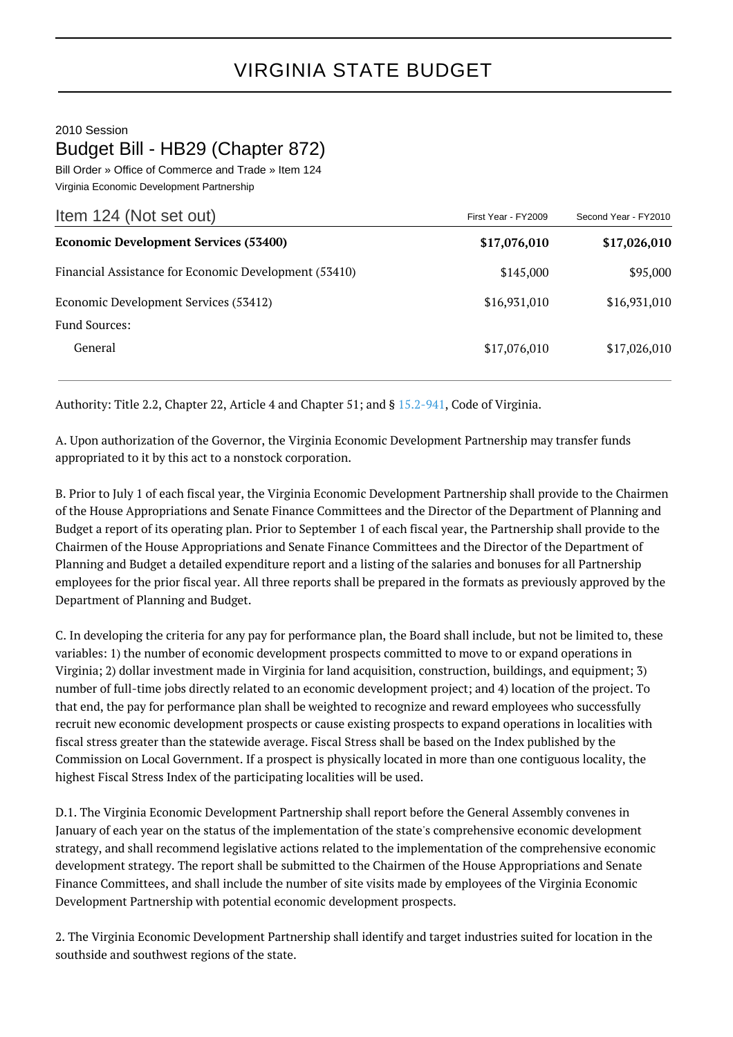2010 Session Budget Bill - HB29 (Chapter 872)

Bill Order » Office of Commerce and Trade » Item 124 Virginia Economic Development Partnership

| Item 124 (Not set out)                                | First Year - FY2009 | Second Year - FY2010 |
|-------------------------------------------------------|---------------------|----------------------|
| <b>Economic Development Services (53400)</b>          | \$17,076,010        | \$17,026,010         |
| Financial Assistance for Economic Development (53410) | \$145,000           | \$95,000             |
| Economic Development Services (53412)                 | \$16,931,010        | \$16,931,010         |
| <b>Fund Sources:</b>                                  |                     |                      |
| General                                               | \$17,076,010        | \$17,026,010         |

Authority: Title 2.2, Chapter 22, Article 4 and Chapter 51; and § [15.2-941](http://law.lis.virginia.gov/vacode/15.2-941/), Code of Virginia.

A. Upon authorization of the Governor, the Virginia Economic Development Partnership may transfer funds appropriated to it by this act to a nonstock corporation.

B. Prior to July 1 of each fiscal year, the Virginia Economic Development Partnership shall provide to the Chairmen of the House Appropriations and Senate Finance Committees and the Director of the Department of Planning and Budget a report of its operating plan. Prior to September 1 of each fiscal year, the Partnership shall provide to the Chairmen of the House Appropriations and Senate Finance Committees and the Director of the Department of Planning and Budget a detailed expenditure report and a listing of the salaries and bonuses for all Partnership employees for the prior fiscal year. All three reports shall be prepared in the formats as previously approved by the Department of Planning and Budget.

C. In developing the criteria for any pay for performance plan, the Board shall include, but not be limited to, these variables: 1) the number of economic development prospects committed to move to or expand operations in Virginia; 2) dollar investment made in Virginia for land acquisition, construction, buildings, and equipment; 3) number of full-time jobs directly related to an economic development project; and 4) location of the project. To that end, the pay for performance plan shall be weighted to recognize and reward employees who successfully recruit new economic development prospects or cause existing prospects to expand operations in localities with fiscal stress greater than the statewide average. Fiscal Stress shall be based on the Index published by the Commission on Local Government. If a prospect is physically located in more than one contiguous locality, the highest Fiscal Stress Index of the participating localities will be used.

D.1. The Virginia Economic Development Partnership shall report before the General Assembly convenes in January of each year on the status of the implementation of the state's comprehensive economic development strategy, and shall recommend legislative actions related to the implementation of the comprehensive economic development strategy. The report shall be submitted to the Chairmen of the House Appropriations and Senate Finance Committees, and shall include the number of site visits made by employees of the Virginia Economic Development Partnership with potential economic development prospects.

2. The Virginia Economic Development Partnership shall identify and target industries suited for location in the southside and southwest regions of the state.